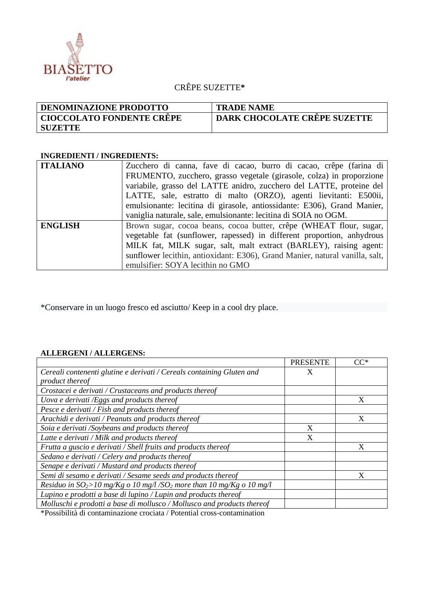

## CRÊPE SUZETTE**\***

| <b>DENOMINAZIONE PRODOTTO</b> | <b>TRADE NAME</b>                   |
|-------------------------------|-------------------------------------|
| ' CIOCCOLATO FONDENTE CRÊPE   | <b>DARK CHOCOLATE CRÊPE SUZETTE</b> |
| <b>SUZETTE</b>                |                                     |

## **INGREDIENTI / INGREDIENTS:**

| <b>ITALIANO</b> | Zucchero di canna, fave di cacao, burro di cacao, crêpe (farina di           |  |  |
|-----------------|------------------------------------------------------------------------------|--|--|
|                 | FRUMENTO, zucchero, grasso vegetale (girasole, colza) in proporzione         |  |  |
|                 | variabile, grasso del LATTE anidro, zucchero del LATTE, proteine del         |  |  |
|                 | LATTE, sale, estratto di malto (ORZO), agenti lievitanti: E500ii,            |  |  |
|                 | emulsionante: lecitina di girasole, antiossidante: E306), Grand Manier,      |  |  |
|                 | vaniglia naturale, sale, emulsionante: lecitina di SOIA no OGM.              |  |  |
| <b>ENGLISH</b>  | Brown sugar, cocoa beans, cocoa butter, crêpe (WHEAT flour, sugar,           |  |  |
|                 | vegetable fat (sunflower, rapessed) in different proportion, anhydrous       |  |  |
|                 | MILK fat, MILK sugar, salt, malt extract (BARLEY), raising agent:            |  |  |
|                 | sunflower lecithin, antioxidant: E306), Grand Manier, natural vanilla, salt, |  |  |
|                 | emulsifier: SOYA lecithin no GMO                                             |  |  |

\*Conservare in un luogo fresco ed asciutto/ Keep in a cool dry place.

## **ALLERGENI / ALLERGENS:**

|                                                                                    | <b>PRESENTE</b> | $CC^*$ |
|------------------------------------------------------------------------------------|-----------------|--------|
| Cereali contenenti glutine e derivati / Cereals containing Gluten and              | X               |        |
| product thereof                                                                    |                 |        |
| Crostacei e derivati / Crustaceans and products thereof                            |                 |        |
| Uova e derivati /Eggs and products thereof                                         |                 | X      |
| Pesce e derivati / Fish and products thereof                                       |                 |        |
| Arachidi e derivati / Peanuts and products thereof                                 |                 | X      |
| Soia e derivati /Soybeans and products thereof                                     | X               |        |
| Latte e derivati / Milk and products thereof                                       | X               |        |
| Frutta a guscio e derivati / Shell fruits and products thereof                     |                 |        |
| Sedano e derivati / Celery and products thereof                                    |                 |        |
| Senape e derivati / Mustard and products thereof                                   |                 |        |
| Semi di sesamo e derivati / Sesame seeds and products thereof                      |                 |        |
| Residuo in $SO_2$ >10 mg/Kg o 10 mg/l/SO <sub>2</sub> more than 10 mg/Kg o 10 mg/l |                 |        |
| Lupino e prodotti a base di lupino / Lupin and products thereof                    |                 |        |
| Molluschi e prodotti a base di mollusco / Mollusco and products thereof            |                 |        |

\*Possibilità di contaminazione crociata / Potential cross-contamination